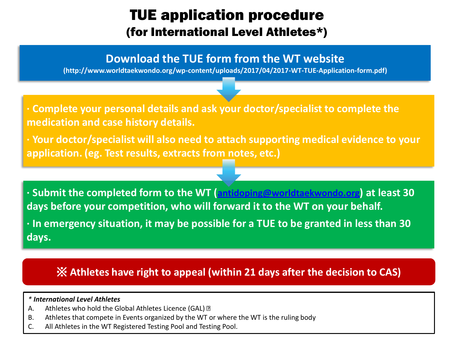## TUE application procedure (for International Level Athletes\*)

### **Download the TUE form from the WT website**

**(http://www.worldtaekwondo.org/wp-content/uploads/2017/04/2017-WT-TUE-Application-form.pdf)**

**∙ Complete your personal details and ask your doctor/specialist to complete the medication and case history details.**

**∙ Your doctor/specialist will also need to attach supporting medical evidence to your application. (eg. Test results, extracts from notes, etc.)**

**∙ Submit the completed form to the WT ([antidoping@worldtaekwondo.org](mailto:antidoping@wtf.org)) at least 30 days before your competition, who will forward it to the WT on your behalf.** 

**∙ In emergency situation, it may be possible for a TUE to be granted in less than 30 days.**

### ※ **Athletes have right to appeal (within 21 days after the decision to CAS)**

#### *\* International Level Athletes*

- A. Athletes who hold the Global Athletes Licence (GAL) 2
- B. Athletes that compete in Events organized by the WT or where the WT is the ruling body
- C. All Athletes in the WT Registered Testing Pool and Testing Pool.